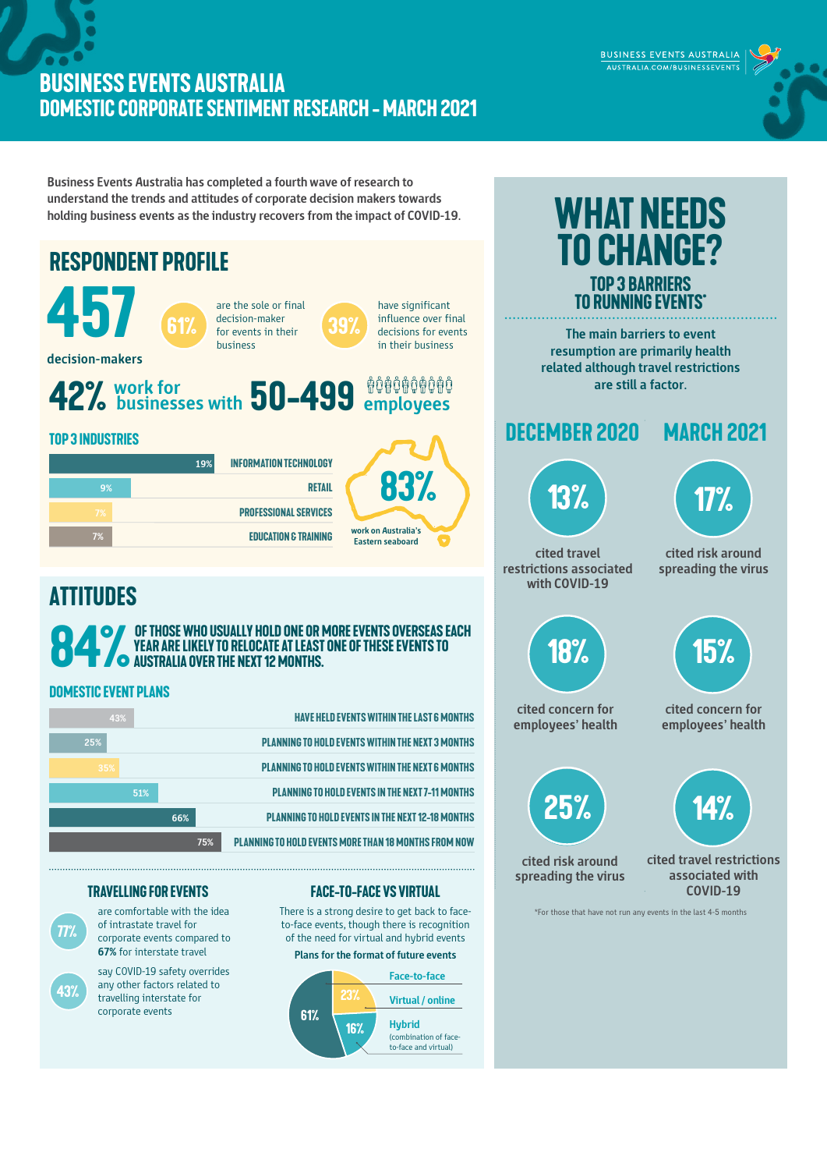## **BUSINESS EVENTS AUSTRALIA DOMESTIC CORPORATE SENTIMENT RESEARCH -march 2021**

BUSINESS EVENTS AUSTRALIA AUSTRALIA.COM/BUSINESSEVENTS

**Business Events Australia has completed a fourth wave of research to understand the trends and attitudes of corporate decision makers towards holding business events as the industry recovers from the impact of COVID-19.** 



**16%**

**Hybrid** (combination of faceto-face and virtual)